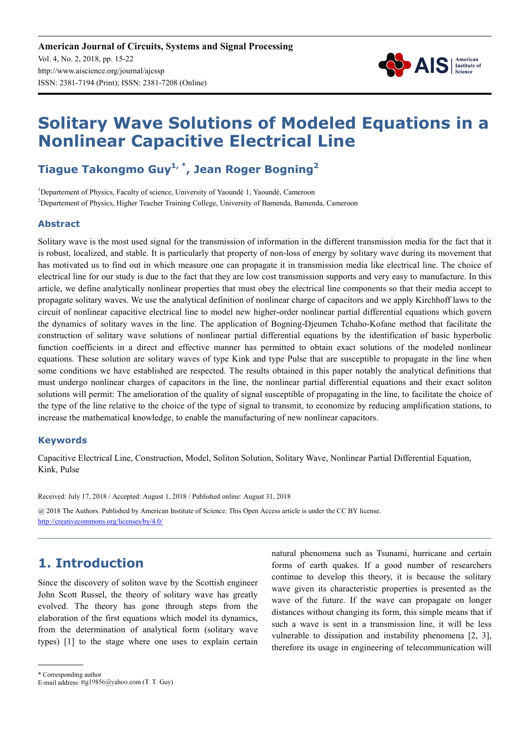

# **Solitary Wave Solutions of Modeled Equations in a Nonlinear Capacitive Electrical Line**

#### **Tiague Takongmo Guy1, \*, Jean Roger Bogning<sup>2</sup>**

<sup>1</sup>Departement of Physics, Faculty of science, University of Yaoundé 1, Yaoundé, Cameroon <sup>2</sup>Departement of Physics, Higher Teacher Training College, University of Bamenda, Bamenda, Cameroon

#### **Abstract**

Solitary wave is the most used signal for the transmission of information in the different transmission media for the fact that it is robust, localized, and stable. It is particularly that property of non-loss of energy by solitary wave during its movement that has motivated us to find out in which measure one can propagate it in transmission media like electrical line. The choice of electrical line for our study is due to the fact that they are low cost transmission supports and very easy to manufacture. In this article, we define analytically nonlinear properties that must obey the electrical line components so that their media accept to propagate solitary waves. We use the analytical definition of nonlinear charge of capacitors and we apply Kirchhoff laws to the circuit of nonlinear capacitive electrical line to model new higher-order nonlinear partial differential equations which govern the dynamics of solitary waves in the line. The application of Bogning-Djeumen Tchaho-Kofane method that facilitate the construction of solitary wave solutions of nonlinear partial differential equations by the identification of basic hyperbolic function coefficients in a direct and effective manner has permitted to obtain exact solutions of the modeled nonlinear equations. These solution are solitary waves of type Kink and type Pulse that are susceptible to propagate in the line when some conditions we have established are respected. The results obtained in this paper notably the analytical definitions that must undergo nonlinear charges of capacitors in the line, the nonlinear partial differential equations and their exact soliton solutions will permit: The amelioration of the quality of signal susceptible of propagating in the line, to facilitate the choice of the type of the line relative to the choice of the type of signal to transmit, to economize by reducing amplification stations, to increase the mathematical knowledge, to enable the manufacturing of new nonlinear capacitors.

#### **Keywords**

Capacitive Electrical Line, Construction, Model, Soliton Solution, Solitary Wave, Nonlinear Partial Differential Equation, Kink, Pulse

Received: July 17, 2018 / Accepted: August 1, 2018 / Published online: August 31, 2018

@ 2018 The Authors. Published by American Institute of Science. This Open Access article is under the CC BY license. http://creativecommons.org/licenses/by/4.0/

### **1. Introduction**

Since the discovery of soliton wave by the Scottish engineer John Scott Russel, the theory of solitary wave has greatly evolved. The theory has gone through steps from the elaboration of the first equations which model its dynamics, from the determination of analytical form (solitary wave types) [1] to the stage where one uses to explain certain natural phenomena such as Tsunami, hurricane and certain forms of earth quakes. If a good number of researchers continue to develop this theory, it is because the solitary wave given its characteristic properties is presented as the wave of the future. If the wave can propagate on longer distances without changing its form, this simple means that if such a wave is sent in a transmission line, it will be less vulnerable to dissipation and instability phenomena [2, 3], therefore its usage in engineering of telecommunication will

\* Corresponding author

E-mail address: ttg19856@yahoo.com (T. T. Guy)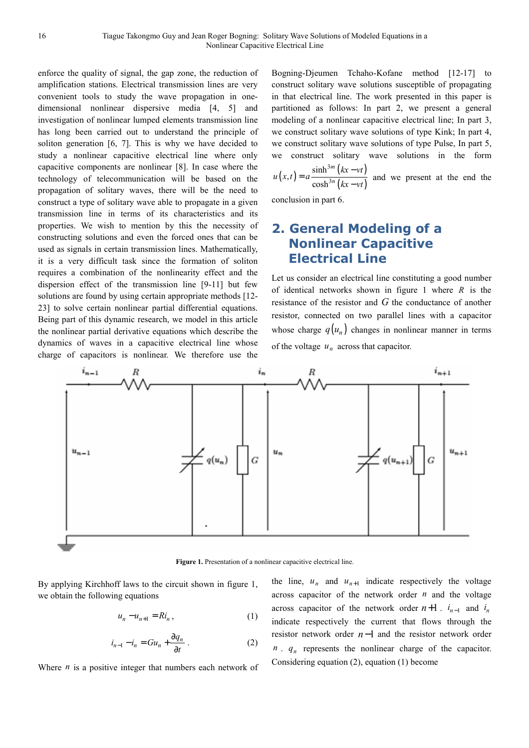enforce the quality of signal, the gap zone, the reduction of amplification stations. Electrical transmission lines are very convenient tools to study the wave propagation in onedimensional nonlinear dispersive media [4, 5] and investigation of nonlinear lumped elements transmission line has long been carried out to understand the principle of soliton generation [6, 7]. This is why we have decided to study a nonlinear capacitive electrical line where only capacitive components are nonlinear [8]. In case where the technology of telecommunication will be based on the propagation of solitary waves, there will be the need to construct a type of solitary wave able to propagate in a given transmission line in terms of its characteristics and its properties. We wish to mention by this the necessity of constructing solutions and even the forced ones that can be used as signals in certain transmission lines. Mathematically, it is a very difficult task since the formation of soliton requires a combination of the nonlinearity effect and the dispersion effect of the transmission line [9-11] but few solutions are found by using certain appropriate methods [12--23] to solve certain nonlinear partial differential equations. Being part of this dynamic research, we model in this article the nonlinear partial derivative equations which describe the dynamics of waves in a capacitive electrical line whose charge of capacitors is nonlinear. We therefore use the Bogning-Djeumen Tchaho-Kofane method [12-17] to construct solitary wave solutions susceptible of propagating in that electrical line. The work presented in this paper is partitioned as follows: In part 2, we present a general modeling of a nonlinear capacitive electrical line; In part 3, we construct solitary wave solutions of type Kink; In part 4, we construct solitary wave solutions of type Pulse, In part 5, we construct solitary wave solutions in the form

$$
u(x,t) = a \frac{\sinh^{3m}(kx - vt)}{\cosh^{3n}(kx - vt)}
$$
 and we present at the end the

conclusion in part 6.

#### **2. General Modeling of a Nonlinear Capacitive Electrical Line**

Let us consider an electrical line constituting a good number of identical networks shown in figure 1 where *R* is the resistance of the resistor and *G* the conductance of another resistor, connected on two parallel lines with a capacitor whose charge  $q(u_n)$  changes in nonlinear manner in terms of the voltage  $u_n$  across that capacitor.



**Figure 1.** Presentation of a nonlinear capacitive electrical line.

By applying Kirchhoff laws to the circuit shown in figure 1, we obtain the following equations

$$
u_n - u_{n+1} = Ri_n, \qquad (1)
$$

$$
i_{n-1} - i_n = Gu_n + \frac{\partial q_n}{\partial t} \,. \tag{2}
$$

Where *n* is a positive integer that numbers each network of

the line,  $u_n$  and  $u_{n+1}$  indicate respectively the voltage across capacitor of the network order *n* and the voltage across capacitor of the network order  $n+1$ .  $i_{n-1}$  and  $i_n$ indicate respectively the current that flows through the resistor network order *n*−1 and the resistor network order  $n$ ,  $q_n$  represents the nonlinear charge of the capacitor. Considering equation (2), equation (1) become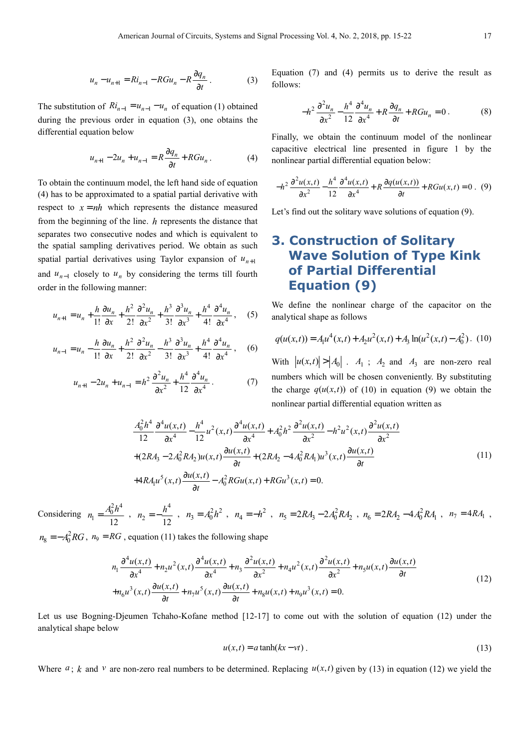$$
u_n - u_{n+1} = Ri_{n-1} - RGu_n - R\frac{\partial q_n}{\partial t} \,. \tag{3}
$$

The substitution of  $Ri_{n-1} = u_{n-1} - u_n$  of equation (1) obtained during the previous order in equation (3), one obtains the differential equation below

$$
u_{n+1} - 2u_n + u_{n-1} = R\frac{\partial q_n}{\partial t} + RGu_n. \tag{4}
$$

To obtain the continuum model, the left hand side of equation (4) has to be approximated to a spatial partial derivative with respect to  $x = nh$  which represents the distance measured from the beginning of the line. *h* represents the distance that separates two consecutive nodes and which is equivalent to the spatial sampling derivatives period. We obtain as such spatial partial derivatives using Taylor expansion of  $u_{n+1}$ and  $u_{n-1}$  closely to  $u_n$  by considering the terms till fourth order in the following manner:

$$
u_{n+1} = u_n + \frac{h}{1!} \frac{\partial u_n}{\partial x} + \frac{h^2}{2!} \frac{\partial^2 u_n}{\partial x^2} + \frac{h^3}{3!} \frac{\partial^3 u_n}{\partial x^3} + \frac{h^4}{4!} \frac{\partial^4 u_n}{\partial x^4}, \quad (5)
$$

$$
u_{n-1} = u_n - \frac{h}{1!} \frac{\partial u_n}{\partial x} + \frac{h^2}{2!} \frac{\partial^2 u_n}{\partial x^2} - \frac{h^3}{3!} \frac{\partial^3 u_n}{\partial x^3} + \frac{h^4}{4!} \frac{\partial^4 u_n}{\partial x^4}, \quad (6)
$$

$$
u_{n+1} - 2u_n + u_{n-1} = h^2 \frac{\partial^2 u_n}{\partial x^2} + \frac{h^4}{12} \frac{\partial^4 u_n}{\partial x^4}.
$$
 (7)

Equation (7) and (4) permits us to derive the result as follows:

$$
-h^2 \frac{\partial^2 u_n}{\partial x^2} - \frac{h^4}{12} \frac{\partial^4 u_n}{\partial x^4} + R \frac{\partial q_n}{\partial t} + RGu_n = 0.
$$
 (8)

Finally, we obtain the continuum model of the nonlinear capacitive electrical line presented in figure 1 by the nonlinear partial differential equation below:

$$
-h^2 \frac{\partial^2 u(x,t)}{\partial x^2} - \frac{h^4}{12} \frac{\partial^4 u(x,t)}{\partial x^4} + R \frac{\partial q(u(x,t))}{\partial t} + RGu(x,t) = 0. \tag{9}
$$

Let's find out the solitary wave solutions of equation (9).

#### **3. Construction of Solitary Wave Solution of Type Kink of Partial Differential Equation (9)**

We define the nonlinear charge of the capacitor on the analytical shape as follows

$$
q(u(x,t)) = A_1 u^4(x,t) + A_2 u^2(x,t) + A_3 \ln(u^2(x,t) - A_0^2).
$$
 (10)

With  $|u(x,t)| > |A_0|$ .  $A_1$ ;  $A_2$  and  $A_3$  are non-zero real numbers which will be chosen conveniently. By substituting the charge  $q(u(x,t))$  of (10) in equation (9) we obtain the nonlinear partial differential equation written as

$$
\frac{A_0^2 h^4}{12} \frac{\partial^4 u(x,t)}{\partial x^4} - \frac{h^4}{12} u^2(x,t) \frac{\partial^4 u(x,t)}{\partial x^4} + A_0^2 h^2 \frac{\partial^2 u(x,t)}{\partial x^2} - h^2 u^2(x,t) \frac{\partial^2 u(x,t)}{\partial x^2} \n+ (2R A_3 - 2A_0^2 R A_2) u(x,t) \frac{\partial u(x,t)}{\partial t} + (2R A_2 - 4A_0^2 R A_1) u^3(x,t) \frac{\partial u(x,t)}{\partial t} \n+ 4R A_1 u^5(x,t) \frac{\partial u(x,t)}{\partial t} - A_0^2 R G u(x,t) + R G u^3(x,t) = 0.
$$
\n(11)

Considering  $a_1 = \frac{A_0^2 h^4}{12}$  $n_1 = \frac{A_0^2 h^4}{h^2}$ ,  $n_2 = -\frac{h^4}{h^2}$  $2 - \frac{}{12}$  $n_2 = -\frac{h^4}{12}$ ,  $n_3 = A_0^2 h^2$ ,  $n_4 = -h^2$ ,  $n_5 = 2R A_3 - 2A_0^2 R A_2$ ,  $n_6 = 2R A_2 - 4A_0^2 R A_1$ ,  $n_7 = 4R A_1$ ,

 $n_8 = -A_0^2 RG$ ,  $n_9 = RG$ , equation (11) takes the following shape

$$
n_1 \frac{\partial^4 u(x,t)}{\partial x^4} + n_2 u^2(x,t) \frac{\partial^4 u(x,t)}{\partial x^4} + n_3 \frac{\partial^2 u(x,t)}{\partial x^2} + n_4 u^2(x,t) \frac{\partial^2 u(x,t)}{\partial x^2} + n_5 u(x,t) \frac{\partial u(x,t)}{\partial t}
$$
  
+ 
$$
n_6 u^3(x,t) \frac{\partial u(x,t)}{\partial t} + n_7 u^5(x,t) \frac{\partial u(x,t)}{\partial t} + n_8 u(x,t) + n_9 u^3(x,t) = 0.
$$
 (12)

Let us use Bogning-Djeumen Tchaho-Kofane method [12-17] to come out with the solution of equation (12) under the analytical shape below

$$
u(x,t) = a \tanh(kx - vt) \tag{13}
$$

Where  $a$ ;  $k$  and  $v$  are non-zero real numbers to be determined. Replacing  $u(x,t)$  given by (13) in equation (12) we yield the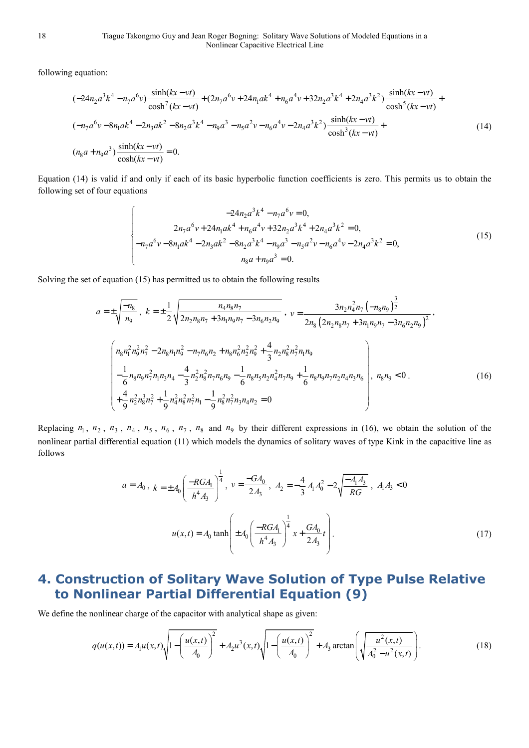following equation:

$$
(-24n_{2}a^{3}k^{4} - n_{7}a^{6}v) \frac{\sinh(kx - vt)}{\cosh^{7}(kx - vt)} + (2n_{7}a^{6}v + 24n_{1}ak^{4} + n_{6}a^{4}v + 32n_{2}a^{3}k^{4} + 2n_{4}a^{3}k^{2}) \frac{\sinh(kx - vt)}{\cosh^{5}(kx - vt)} + (-n_{7}a^{6}v - 8n_{1}ak^{4} - 2n_{3}ak^{2} - 8n_{2}a^{3}k^{4} - n_{9}a^{3} - n_{5}a^{2}v - n_{6}a^{4}v - 2n_{4}a^{3}k^{2}) \frac{\sinh(kx - vt)}{\cosh^{3}(kx - vt)} + (n_{8}a + n_{9}a^{3}) \frac{\sinh(kx - vt)}{\cosh(kx - vt)} = 0.
$$
\n(14)

Equation (14) is valid if and only if each of its basic hyperbolic function coefficients is zero. This permits us to obtain the following set of four equations

$$
-24n_{2}a^{3}k^{4} - n_{7}a^{6}v = 0,
$$
  
\n
$$
2n_{7}a^{6}v + 24n_{1}ak^{4} + n_{6}a^{4}v + 32n_{2}a^{3}k^{4} + 2n_{4}a^{3}k^{2} = 0,
$$
  
\n
$$
-n_{7}a^{6}v - 8n_{1}ak^{4} - 2n_{3}ak^{2} - 8n_{2}a^{3}k^{4} - n_{9}a^{3} - n_{5}a^{2}v - n_{6}a^{4}v - 2n_{4}a^{3}k^{2} = 0,
$$
  
\n
$$
n_{8}a + n_{9}a^{3} = 0.
$$
\n(15)

Solving the set of equation (15) has permitted us to obtain the following results

$$
a = \pm \sqrt{\frac{-n_8}{n_9}}, k = \pm \frac{1}{2} \sqrt{\frac{n_4 n_8 n_7}{2 n_2 n_8 n_7 + 3 n_1 n_9 n_7 - 3 n_6 n_2 n_9}}, v = \frac{3 n_2 n_4^2 n_7 (-n_8 n_9)^{\frac{3}{2}}}{2 n_8 (2 n_2 n_8 n_7 + 3 n_1 n_9 n_7 - 3 n_6 n_2 n_9)^2},
$$
  

$$
\left( \frac{n_8 n_1^2 n_9^2 n_7^2 - 2 n_8 n_1 n_9^2 - n_7 n_6 n_2 + n_8 n_6^2 n_2^2 n_9^2 + \frac{4}{3} n_2 n_8^2 n_7^2 n_1 n_9}{- \frac{1}{6} n_8 n_9 n_7^2 n_1 n_3 n_4 - \frac{4}{3} n_2^2 n_8^2 n_7 n_6 n_9 - \frac{1}{6} n_8 n_5 n_2 n_4^2 n_7 n_9 + \frac{1}{6} n_8 n_9 n_7 n_2 n_4 n_3 n_6}{+ \frac{4}{9} n_2^2 n_8^3 n_7^2 + \frac{1}{9} n_4^2 n_8^2 n_7^2 n_1 - \frac{1}{9} n_8^2 n_7^2 n_3 n_4 n_2 = 0
$$
 (16)

Replacing  $n_1$ ,  $n_2$ ,  $n_3$ ,  $n_4$ ,  $n_5$ ,  $n_6$ ,  $n_7$ ,  $n_8$  and  $n_9$  by their different expressions in (16), we obtain the solution of the nonlinear partial differential equation (11) which models the dynamics of solitary waves of type Kink in the capacitive line as follows

$$
a = A_0, k = \pm A_0 \left( \frac{-RGA_1}{h^4 A_3} \right)^{\frac{1}{4}}, v = \frac{-GA_0}{2A_3}, A_2 = -\frac{4}{3} A_1 A_0^2 - 2 \sqrt{\frac{-A_1 A_3}{RG}}, A_1 A_3 < 0
$$

$$
u(x, t) = A_0 \tanh\left( \pm A_0 \left( \frac{-RGA_1}{h^4 A_3} \right)^{\frac{1}{4}} x + \frac{GA_0}{2A_3} t \right).
$$
(17)

## **4. Construction of Solitary Wave Solution of Type Pulse Relative to Nonlinear Partial Differential Equation (9)**

We define the nonlinear charge of the capacitor with analytical shape as given:

$$
q(u(x,t)) = A_1 u(x,t) \sqrt{1 - \left(\frac{u(x,t)}{A_0}\right)^2 + A_2 u^3(x,t)} \sqrt{1 - \left(\frac{u(x,t)}{A_0}\right)^2 + A_3 \arctan\left(\sqrt{\frac{u^2(x,t)}{A_0^2 - u^2(x,t)}}\right)}.
$$
 (18)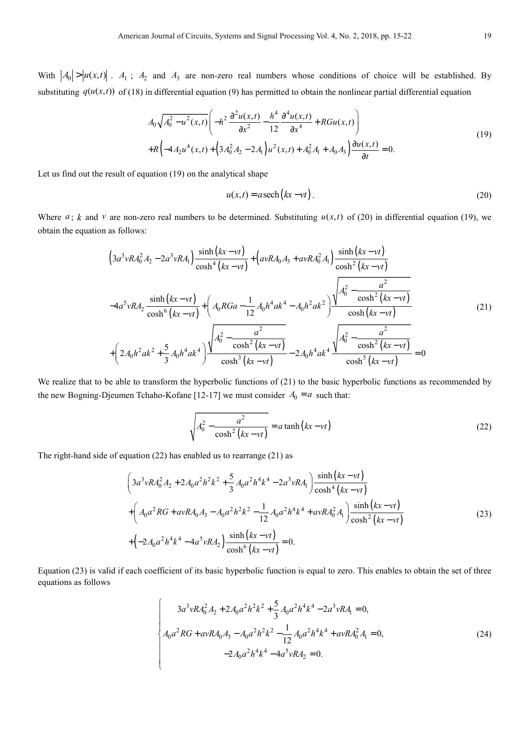With  $|A_0| > |u(x,t)|$ .  $A_1$ ;  $A_2$  and  $A_3$  are non-zero real numbers whose conditions of choice will be established. By substituting  $q(u(x,t))$  of (18) in differential equation (9) has permitted to obtain the nonlinear partial differential equation

$$
A_0 \sqrt{A_0^2 - u^2(x,t)} \left( -h^2 \frac{\partial^2 u(x,t)}{\partial x^2} - \frac{h^4}{12} \frac{\partial^4 u(x,t)}{\partial x^4} + RGu(x,t) \right)
$$
  
+
$$
R \left( -4A_2 u^4(x,t) + \left( 3A_0^2 A_2 - 2A_1 \right) u^2(x,t) + A_0^2 A_1 + A_0 A_3 \right) \frac{\partial u(x,t)}{\partial t} = 0.
$$
 (19)

Let us find out the result of equation (19) on the analytical shape

$$
u(x,t) = a \operatorname{sech}\left(kx - vt\right). \tag{20}
$$

Where  $a$ ;  $k$  and  $v$  are non-zero real numbers to be determined. Substituting  $u(x,t)$  of (20) in differential equation (19), we obtain the equation as follows:

$$
\left(3a^{3}vR A_{0}^{2} A_{2} - 2a^{3}vR A_{1}\right) \frac{\sinh(kx - vt)}{\cosh^{4}(kx - vt)} + \left(avR A_{0} A_{3} + avR A_{0}^{2} A_{1}\right) \frac{\sinh(kx - vt)}{\cosh^{2}(kx - vt)}
$$
  

$$
-4a^{5}vR A_{2} \frac{\sinh(kx - vt)}{\cosh^{6}(kx - vt)} + \left(A_{0}R Ga - \frac{1}{12}A_{0}h^{4}ak^{4} - A_{0}h^{2}ak^{2}\right) \frac{\sqrt{A_{0}^{2} - \frac{a^{2}}{\cosh^{2}(kx - vt)}}}{\cosh(kx - vt)} + \left(2A_{0}h^{2}ak^{2} + \frac{5}{3}A_{0}h^{4}ak^{4}\right) \frac{\sqrt{A_{0}^{2} - \frac{a^{2}}{\cosh^{2}(kx - vt)}}}{\cosh^{3}(kx - vt)} - 2A_{0}h^{4}ak^{4} \frac{\sqrt{A_{0}^{2} - \frac{a^{2}}{\cosh^{2}(kx - vt)}}}{\cosh^{5}(kx - vt)} = 0
$$
(21)

We realize that to be able to transform the hyperbolic functions of (21) to the basic hyperbolic functions as recommended by the new Bogning-Djeumen Tchaho-Kofane [12-17] we must consider  $A_0 = a$  such that:

$$
\sqrt{A_0^2 - \frac{a^2}{\cosh^2(kx - vt)}} = a \tanh(kx - vt)
$$
\n(22)

The right-hand side of equation (22) has enabled us to rearrange (21) as

$$
\left(3a^{3}vR A_{0}^{2} A_{2} + 2A_{0}a^{2}h^{2} k^{2} + \frac{5}{3}A_{0}a^{2}h^{4} k^{4} - 2a^{3}vR A_{1}\right) \frac{\sinh(kx - vt)}{\cosh^{4}(kx - vt)}
$$
  
+
$$
\left(A_{0}a^{2}RG + avR A_{0}A_{3} - A_{0}a^{2}h^{2} k^{2} - \frac{1}{12}A_{0}a^{2}h^{4} k^{4} + avR A_{0}^{2} A_{1}\right) \frac{\sinh(kx - vt)}{\cosh^{2}(kx - vt)}
$$
  
+
$$
\left(-2A_{0}a^{2}h^{4} k^{4} - 4a^{5}vR A_{2}\right) \frac{\sinh(kx - vt)}{\cosh^{6}(kx - vt)} = 0.
$$
 (23)

Equation (23) is valid if each coefficient of its basic hyperbolic function is equal to zero. This enables to obtain the set of three equations as follows

$$
\begin{cases}\n3a^3vR A_0^2 A_2 + 2A_0 a^2 h^2 k^2 + \frac{5}{3} A_0 a^2 h^4 k^4 - 2a^3 vR A_1 = 0, \\
A_0 a^2 R G + avR A_0 A_3 - A_0 a^2 h^2 k^2 - \frac{1}{12} A_0 a^2 h^4 k^4 + avR A_0^2 A_1 = 0, \\
-2A_0 a^2 h^4 k^4 - 4a^5 vR A_2 = 0.\n\end{cases}
$$
\n(24)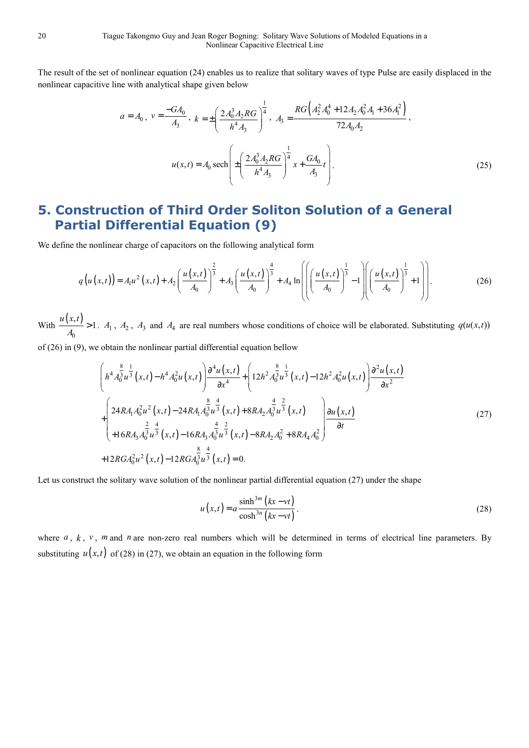The result of the set of nonlinear equation (24) enables us to realize that solitary waves of type Pulse are easily displaced in the nonlinear capacitive line with analytical shape given below

$$
a = A_0, \ v = \frac{-GA_0}{A_3}, \ k = \pm \left(\frac{2A_0^3A_2RG}{h^4A_3}\right)^{\frac{1}{4}}, \ A_3 = \frac{RG(A_2^2A_0^4 + 12A_2A_0^2A_1 + 36A_1^2)}{72A_0A_2},
$$

$$
u(x,t) = A_0 \operatorname{sech}\left(\pm \left(\frac{2A_0^3A_2RG}{h^4A_3}\right)^{\frac{1}{4}}x + \frac{GA_0}{A_3}t\right).
$$
(25)

## **5. Construction of Third Order Soliton Solution of a General Partial Differential Equation (9)**

We define the nonlinear charge of capacitors on the following analytical form

$$
q(u(x,t)) = A_1 u^2(x,t) + A_2 \left(\frac{u(x,t)}{A_0}\right)^{\frac{2}{3}} + A_3 \left(\frac{u(x,t)}{A_0}\right)^{\frac{4}{3}} + A_4 \ln\left(\left(\frac{u(x,t)}{A_0}\right)^{\frac{1}{3}} - 1\right) \left(\frac{u(x,t)}{A_0}\right)^{\frac{1}{3}} + 1\right).
$$
 (26)

With  $\frac{u(x,t)}{t}$  $\bf{0}$  $\frac{u(x,t)}{t} > 1$  $\overline{A_0}$  > 1.  $A_1$ ,  $A_2$ ,  $A_3$  and  $A_4$  are real numbers whose conditions of choice will be elaborated. Substituting  $q(u(x,t))$ 

of (26) in (9), we obtain the nonlinear partial differential equation bellow

$$
\left(h^{4}A_{0}^{\frac{8}{3}u^{\frac{1}{3}}}(x,t) - h^{4}A_{0}^{2}u(x,t)\right) \frac{\partial^{4}u(x,t)}{\partial x^{4}} + \left(12h^{2}A_{0}^{\frac{8}{3}u^{\frac{1}{3}}}(x,t) - 12h^{2}A_{0}^{2}u(x,t)\right) \frac{\partial^{2}u(x,t)}{\partial x^{2}} + \left(24RA_{1}A_{0}^{2}u^{2}(x,t) - 24RA_{1}A_{0}^{\frac{8}{3}u^{\frac{4}{3}}}(x,t) + 8RA_{2}A_{0}^{\frac{4}{3}u^{\frac{2}{3}}}(x,t)\right) \frac{\partial u(x,t)}{\partial t} + 16RA_{3}A_{0}^{\frac{2}{3}u^{\frac{4}{3}}}(x,t) - 16RA_{3}A_{0}^{\frac{4}{3}u^{\frac{2}{3}}}(x,t) - 8RA_{2}A_{0}^{2} + 8RA_{4}A_{0}^{2}\right) \frac{\partial u(x,t)}{\partial t} + 12RGA_{0}^{2}u^{2}(x,t) - 12RGA_{0}^{\frac{8}{3}u^{\frac{4}{3}}}(x,t) = 0.
$$
\n(27)

Let us construct the solitary wave solution of the nonlinear partial differential equation (27) under the shape

$$
u(x,t) = a \frac{\sinh^{3m} (kx - vt)}{\cosh^{3n} (kx - vt)}.
$$
\n(28)

where  $a, k, v, m$  and  $n$  are non-zero real numbers which will be determined in terms of electrical line parameters. By substituting  $u(x,t)$  of (28) in (27), we obtain an equation in the following form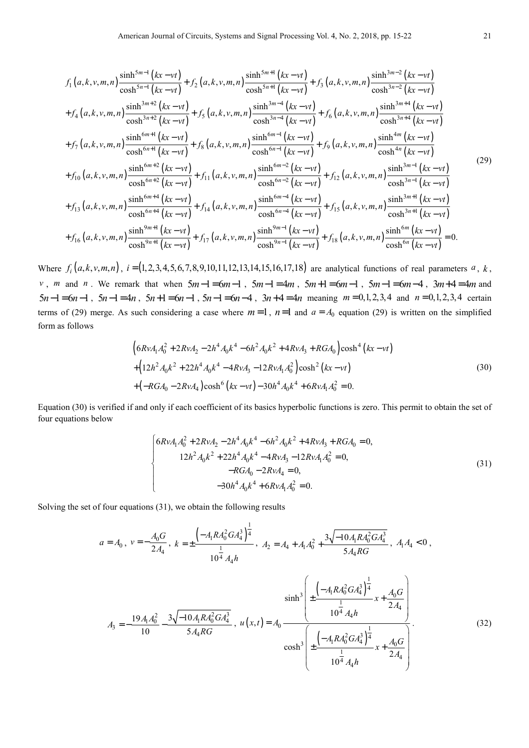$$
f_{1}(a, k, v, m, n) \frac{\sinh^{5m-1}(kx-vt)}{\cosh^{5n-1}(kx-vt)} + f_{2}(a, k, v, m, n) \frac{\sinh^{5m+1}(kx-vt)}{\cosh^{5n+1}(kx-vt)} + f_{3}(a, k, v, m, n) \frac{\sinh^{3m-2}(kx-vt)}{\cosh^{3n-2}(kx-vt)} + f_{4}(a, k, v, m, n) \frac{\sinh^{3m+2}(kx-vt)}{\cosh^{3n+2}(kx-vt)} + f_{5}(a, k, v, m, n) \frac{\sinh^{3m-4}(kx-vt)}{\cosh^{3n-4}(kx-vt)} + f_{6}(a, k, v, m, n) \frac{\sinh^{3m+4}(kx-vt)}{\cosh^{3n+4}(kx-vt)} + f_{7}(a, k, v, m, n) \frac{\sinh^{6m+1}(kx-vt)}{\cosh^{6n+1}(kx-vt)} + f_{8}(a, k, v, m, n) \frac{\sinh^{6m-1}(kx-vt)}{\cosh^{6n-1}(kx-vt)} + f_{9}(a, k, v, m, n) \frac{\sinh^{4m}(kx-vt)}{\cosh^{4m}(kx-vt)} + f_{10}(a, k, v, m, n) \frac{\sinh^{6m+2}(kx-vt)}{\cosh^{6n+2}(kx-vt)} + f_{11}(a, k, v, m, n) \frac{\sinh^{6m-2}(kx-vt)}{\cosh^{6n-2}(kx-vt)} + f_{12}(a, k, v, m, n) \frac{\sinh^{3m-1}(kx-vt)}{\cosh^{3n-1}(kx-vt)} + f_{13}(a, k, v, m, n) \frac{\sinh^{6m+4}(kx-vt)}{\cosh^{6n+4}(kx-vt)} + f_{14}(a, k, v, m, n) \frac{\sinh^{6m-4}(kx-vt)}{\cosh^{6n-4}(kx-vt)} + f_{15}(a, k, v, m, n) \frac{\sinh^{3m+1}(kx-vt)}{\cosh^{3n+1}(kx-vt)} + f_{16}(a, k, v, m, n) \frac{\sinh^{9m+1}(kx-vt)}{\cosh^{9m+1}(kx-vt)} + f_{16}(a, k, v, m, n) \frac{\sinh^{9m+1}(kx-vt)}{\cosh^{9
$$

Where  $f_i(a, k, v, m, n)$ ,  $i = (1, 2, 3, 4, 5, 6, 7, 8, 9, 10, 11, 12, 13, 14, 15, 16, 17, 18)$  are analytical functions of real parameters *a*, *k*, *v*, *m* and *n*. We remark that when  $5m-1=6m-1$ ,  $5m-1=4m$ ,  $5m+1=6m-1$ ,  $5m-1=6m-4$ ,  $3m+4=4m$  and  $5n-1 = 6n-1$ ,  $5n-1 = 4n$ ,  $5n+1 = 6n-1$ ,  $5n-1 = 6n-4$ ,  $3n+4 = 4n$  meaning  $m = 0,1,2,3,4$  and  $n = 0,1,2,3,4$  certain terms of (29) merge. As such considering a case where  $m=1$ ,  $n=1$  and  $a=A_0$  equation (29) is written on the simplified form as follows

$$
\begin{aligned}\n&\left(6RvA_1A_0^2 + 2RvA_2 - 2h^4A_0k^4 - 6h^2A_0k^2 + 4RvA_3 + RGA_0\right)\cosh^4(kx - vt) \\
&+ \left(12h^2A_0k^2 + 22h^4A_0k^4 - 4RvA_3 - 12RvA_1A_0^2\right)\cosh^2(kx - vt) \\
&+ \left(-RGA_0 - 2RvA_4\right)\cosh^6(kx - vt) - 30h^4A_0k^4 + 6RvA_1A_0^2 = 0.\n\end{aligned}
$$
\n(30)

Equation (30) is verified if and only if each coefficient of its basics hyperbolic functions is zero. This permit to obtain the set of four equations below

$$
\begin{cases}\n6RvA_1A_0^2 + 2RvA_2 - 2h^4A_0k^4 - 6h^2A_0k^2 + 4RvA_3 + RGA_0 = 0, \\
12h^2A_0k^2 + 22h^4A_0k^4 - 4RvA_3 - 12RvA_1A_0^2 = 0, \\
-RGA_0 - 2RvA_4 = 0, \\
-30h^4A_0k^4 + 6RvA_1A_0^2 = 0.\n\end{cases}
$$
\n(31)

Solving the set of four equations (31), we obtain the following results

$$
a = A_0, v = -\frac{A_0 G}{2A_4}, k = \pm \frac{\left(-A_1 R A_0^2 G A_4^3\right)^{\frac{1}{4}}}{10^{\frac{1}{4}} A_4 h}, A_2 = A_4 + A_1 A_0^2 + \frac{3\sqrt{-10 A_1 R A_0^2 G A_4^3}}{5 A_4 R G}, A_1 A_4 < 0,
$$

$$
A_{3} = -\frac{19A_{1}A_{0}^{2}}{10} - \frac{3\sqrt{-10A_{1}R_{0}^{2}G_{A_{4}^{3}}}}{5A_{4}RG}, \quad u(x,t) = A_{0} \frac{\sinh^{3}\left(\pm\frac{\left(-A_{1}R_{0}^{2}G_{A_{4}^{3}}\right)^{\frac{1}{4}}}{10^{\frac{1}{4}}A_{4}h}x + \frac{A_{0}G}{2A_{4}}\right)}{\cosh^{3}\left(\pm\frac{\left(-A_{1}R_{0}^{2}G_{A_{4}^{3}}\right)^{\frac{1}{4}}}{10^{\frac{1}{4}}A_{4}h}x + \frac{A_{0}G}{2A_{4}}\right)}\right)}.
$$
(32)